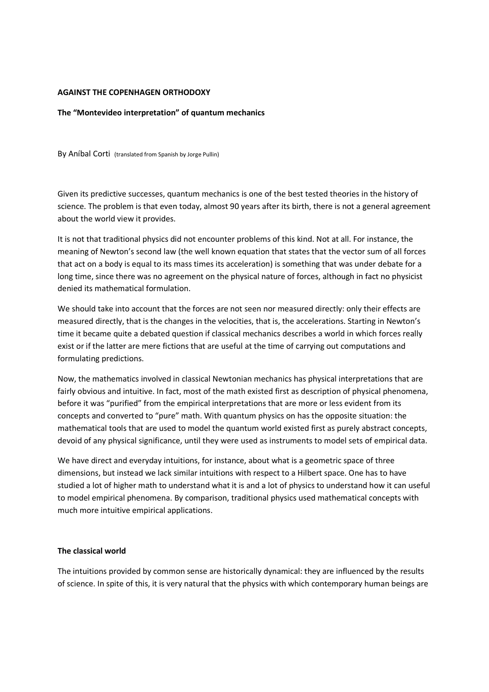## **AGAINST THE COPENHAGEN ORTHODOXY**

# **The "Montevideo interpretation" of quantum mechanics**

By Aníbal Corti (translated from Spanish by Jorge Pullin)

Given its predictive successes, quantum mechanics is one of the best tested theories in the history of science. The problem is that even today, almost 90 years after its birth, there is not a general agreement about the world view it provides.

It is not that traditional physics did not encounter problems of this kind. Not at all. For instance, the meaning of Newton's second law (the well known equation that states that the vector sum of all forces that act on a body is equal to its mass times its acceleration) is something that was under debate for a long time, since there was no agreement on the physical nature of forces, although in fact no physicist denied its mathematical formulation.

We should take into account that the forces are not seen nor measured directly: only their effects are measured directly, that is the changes in the velocities, that is, the accelerations. Starting in Newton's time it became quite a debated question if classical mechanics describes a world in which forces really exist or if the latter are mere fictions that are useful at the time of carrying out computations and formulating predictions.

Now, the mathematics involved in classical Newtonian mechanics has physical interpretations that are fairly obvious and intuitive. In fact, most of the math existed first as description of physical phenomena, before it was "purified" from the empirical interpretations that are more or less evident from its concepts and converted to "pure" math. With quantum physics on has the opposite situation: the mathematical tools that are used to model the quantum world existed first as purely abstract concepts, devoid of any physical significance, until they were used as instruments to model sets of empirical data.

We have direct and everyday intuitions, for instance, about what is a geometric space of three dimensions, but instead we lack similar intuitions with respect to a Hilbert space. One has to have studied a lot of higher math to understand what it is and a lot of physics to understand how it can useful to model empirical phenomena. By comparison, traditional physics used mathematical concepts with much more intuitive empirical applications.

## **The classical world**

The intuitions provided by common sense are historically dynamical: they are influenced by the results of science. In spite of this, it is very natural that the physics with which contemporary human beings are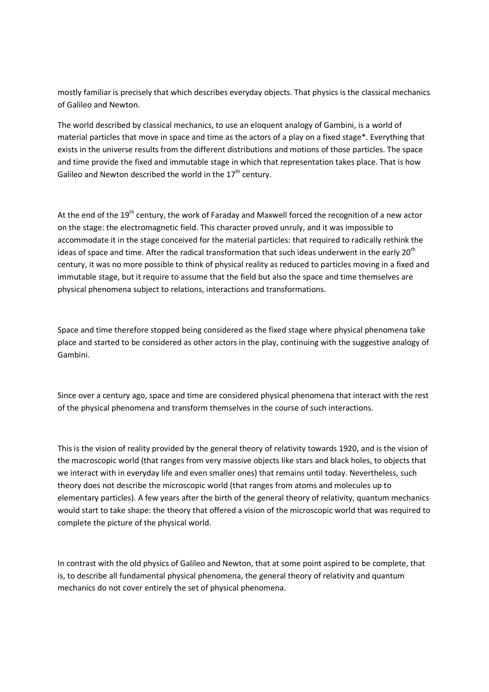mostly familiar is precisely that which describes everyday objects. That physics is the classical mechanics of Galileo and Newton.

The world described by classical mechanics, to use an eloquent analogy of Gambini, is a world of material particles that move in space and time as the actors of a play on a fixed stage\*. Everything that exists in the universe results from the different distributions and motions of those particles. The space and time provide the fixed and immutable stage in which that representation takes place. That is how Galileo and Newton described the world in the  $17<sup>th</sup>$  century.

At the end of the 19<sup>th</sup> century, the work of Faraday and Maxwell forced the recognition of a new actor on the stage: the electromagnetic field. This character proved unruly, and it was impossible to accommodate it in the stage conceived for the material particles: that required to radically rethink the ideas of space and time. After the radical transformation that such ideas underwent in the early 20<sup>th</sup> century, it was no more possible to think of physical reality as reduced to particles moving in a fixed and immutable stage, but it require to assume that the field but also the space and time themselves are physical phenomena subject to relations, interactions and transformations.

Space and time therefore stopped being considered as the fixed stage where physical phenomena take place and started to be considered as other actors in the play, continuing with the suggestive analogy of Gambini.

Since over a century ago, space and time are considered physical phenomena that interact with the rest of the physical phenomena and transform themselves in the course of such interactions.

This is the vision of reality provided by the general theory of relativity towards 1920, and is the vision of the macroscopic world (that ranges from very massive objects like stars and black holes, to objects that we interact with in everyday life and even smaller ones) that remains until today. Nevertheless, such theory does not describe the microscopic world (that ranges from atoms and molecules up to elementary particles). A few years after the birth of the general theory of relativity, quantum mechanics would start to take shape: the theory that offered a vision of the microscopic world that was required to complete the picture of the physical world.

In contrast with the old physics of Galileo and Newton, that at some point aspired to be complete, that is, to describe all fundamental physical phenomena, the general theory of relativity and quantum mechanics do not cover entirely the set of physical phenomena.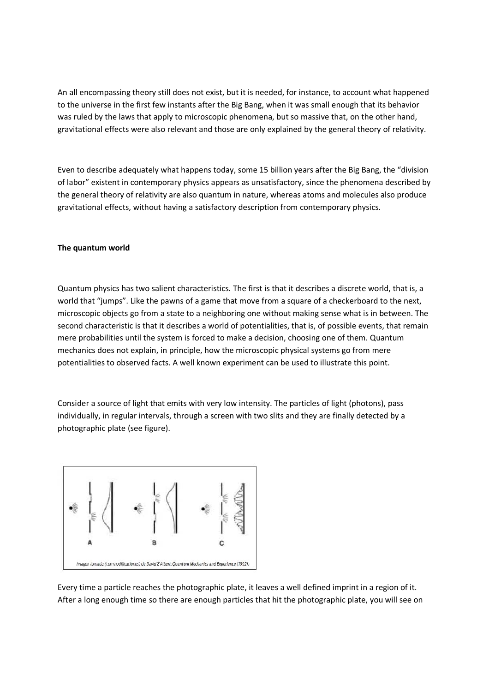An all encompassing theory still does not exist, but it is needed, for instance, to account what happened to the universe in the first few instants after the Big Bang, when it was small enough that its behavior was ruled by the laws that apply to microscopic phenomena, but so massive that, on the other hand, gravitational effects were also relevant and those are only explained by the general theory of relativity.

Even to describe adequately what happens today, some 15 billion years after the Big Bang, the "division of labor" existent in contemporary physics appears as unsatisfactory, since the phenomena described by the general theory of relativity are also quantum in nature, whereas atoms and molecules also produce gravitational effects, without having a satisfactory description from contemporary physics.

## **The quantum world**

Quantum physics has two salient characteristics. The first is that it describes a discrete world, that is, a world that "jumps". Like the pawns of a game that move from a square of a checkerboard to the next, microscopic objects go from a state to a neighboring one without making sense what is in between. The second characteristic is that it describes a world of potentialities, that is, of possible events, that remain mere probabilities until the system is forced to make a decision, choosing one of them. Quantum mechanics does not explain, in principle, how the microscopic physical systems go from mere potentialities to observed facts. A well known experiment can be used to illustrate this point.

Consider a source of light that emits with very low intensity. The particles of light (photons), pass individually, in regular intervals, through a screen with two slits and they are finally detected by a photographic plate (see figure).



Every time a particle reaches the photographic plate, it leaves a well defined imprint in a region of it. After a long enough time so there are enough particles that hit the photographic plate, you will see on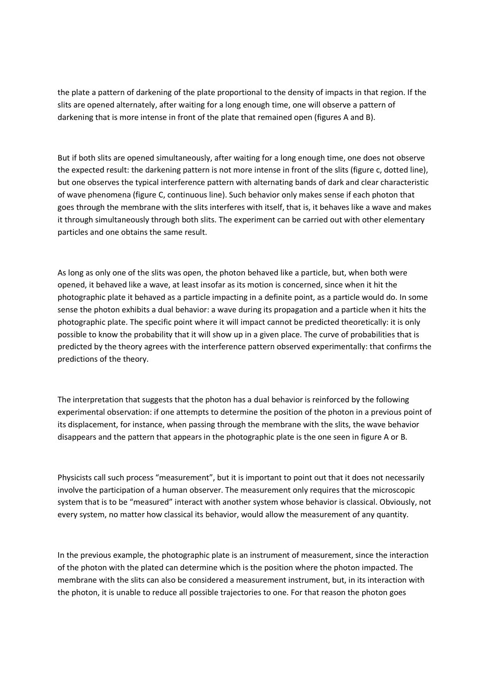the plate a pattern of darkening of the plate proportional to the density of impacts in that region. If the slits are opened alternately, after waiting for a long enough time, one will observe a pattern of darkening that is more intense in front of the plate that remained open (figures A and B).

But if both slits are opened simultaneously, after waiting for a long enough time, one does not observe the expected result: the darkening pattern is not more intense in front of the slits (figure c, dotted line), but one observes the typical interference pattern with alternating bands of dark and clear characteristic of wave phenomena (figure C, continuous line). Such behavior only makes sense if each photon that goes through the membrane with the slits interferes with itself, that is, it behaves like a wave and makes it through simultaneously through both slits. The experiment can be carried out with other elementary particles and one obtains the same result.

As long as only one of the slits was open, the photon behaved like a particle, but, when both were opened, it behaved like a wave, at least insofar as its motion is concerned, since when it hit the photographic plate it behaved as a particle impacting in a definite point, as a particle would do. In some sense the photon exhibits a dual behavior: a wave during its propagation and a particle when it hits the photographic plate. The specific point where it will impact cannot be predicted theoretically: it is only possible to know the probability that it will show up in a given place. The curve of probabilities that is predicted by the theory agrees with the interference pattern observed experimentally: that confirms the predictions of the theory.

The interpretation that suggests that the photon has a dual behavior is reinforced by the following experimental observation: if one attempts to determine the position of the photon in a previous point of its displacement, for instance, when passing through the membrane with the slits, the wave behavior disappears and the pattern that appears in the photographic plate is the one seen in figure A or B.

Physicists call such process "measurement", but it is important to point out that it does not necessarily involve the participation of a human observer. The measurement only requires that the microscopic system that is to be "measured" interact with another system whose behavior is classical. Obviously, not every system, no matter how classical its behavior, would allow the measurement of any quantity.

In the previous example, the photographic plate is an instrument of measurement, since the interaction of the photon with the plated can determine which is the position where the photon impacted. The membrane with the slits can also be considered a measurement instrument, but, in its interaction with the photon, it is unable to reduce all possible trajectories to one. For that reason the photon goes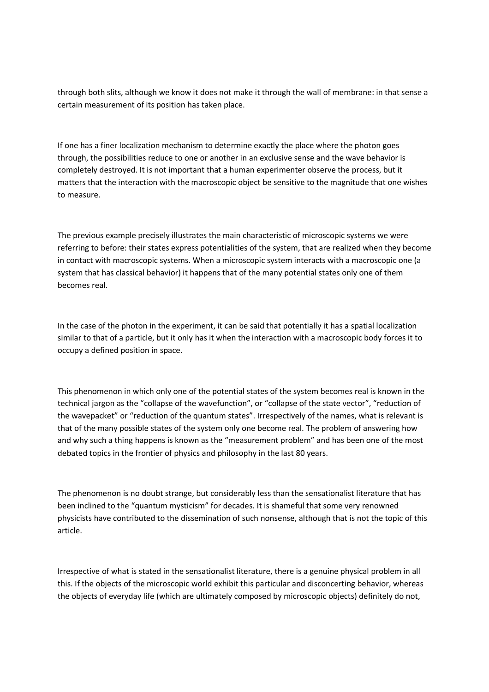through both slits, although we know it does not make it through the wall of membrane: in that sense a certain measurement of its position has taken place.

If one has a finer localization mechanism to determine exactly the place where the photon goes through, the possibilities reduce to one or another in an exclusive sense and the wave behavior is completely destroyed. It is not important that a human experimenter observe the process, but it matters that the interaction with the macroscopic object be sensitive to the magnitude that one wishes to measure.

The previous example precisely illustrates the main characteristic of microscopic systems we were referring to before: their states express potentialities of the system, that are realized when they become in contact with macroscopic systems. When a microscopic system interacts with a macroscopic one (a system that has classical behavior) it happens that of the many potential states only one of them becomes real.

In the case of the photon in the experiment, it can be said that potentially it has a spatial localization similar to that of a particle, but it only has it when the interaction with a macroscopic body forces it to occupy a defined position in space.

This phenomenon in which only one of the potential states of the system becomes real is known in the technical jargon as the "collapse of the wavefunction", or "collapse of the state vector", "reduction of the wavepacket" or "reduction of the quantum states". Irrespectively of the names, what is relevant is that of the many possible states of the system only one become real. The problem of answering how and why such a thing happens is known as the "measurement problem" and has been one of the most debated topics in the frontier of physics and philosophy in the last 80 years.

The phenomenon is no doubt strange, but considerably less than the sensationalist literature that has been inclined to the "quantum mysticism" for decades. It is shameful that some very renowned physicists have contributed to the dissemination of such nonsense, although that is not the topic of this article.

Irrespective of what is stated in the sensationalist literature, there is a genuine physical problem in all this. If the objects of the microscopic world exhibit this particular and disconcerting behavior, whereas the objects of everyday life (which are ultimately composed by microscopic objects) definitely do not,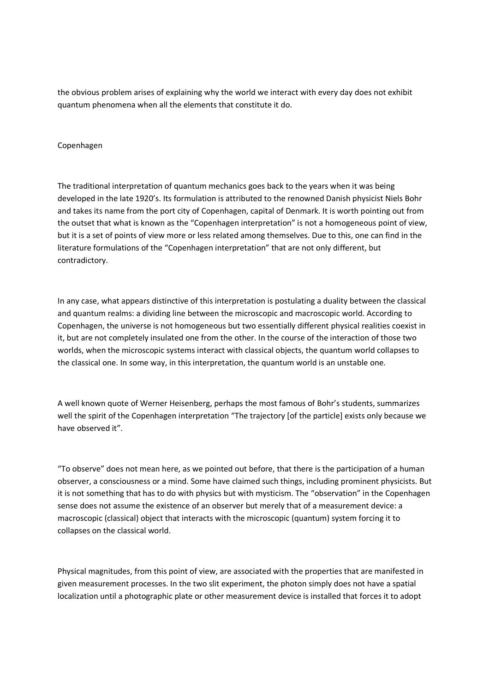the obvious problem arises of explaining why the world we interact with every day does not exhibit quantum phenomena when all the elements that constitute it do.

## Copenhagen

The traditional interpretation of quantum mechanics goes back to the years when it was being developed in the late 1920's. Its formulation is attributed to the renowned Danish physicist Niels Bohr and takes its name from the port city of Copenhagen, capital of Denmark. It is worth pointing out from the outset that what is known as the "Copenhagen interpretation" is not a homogeneous point of view, but it is a set of points of view more or less related among themselves. Due to this, one can find in the literature formulations of the "Copenhagen interpretation" that are not only different, but contradictory.

In any case, what appears distinctive of this interpretation is postulating a duality between the classical and quantum realms: a dividing line between the microscopic and macroscopic world. According to Copenhagen, the universe is not homogeneous but two essentially different physical realities coexist in it, but are not completely insulated one from the other. In the course of the interaction of those two worlds, when the microscopic systems interact with classical objects, the quantum world collapses to the classical one. In some way, in this interpretation, the quantum world is an unstable one.

A well known quote of Werner Heisenberg, perhaps the most famous of Bohr's students, summarizes well the spirit of the Copenhagen interpretation "The trajectory [of the particle] exists only because we have observed it".

"To observe" does not mean here, as we pointed out before, that there is the participation of a human observer, a consciousness or a mind. Some have claimed such things, including prominent physicists. But it is not something that has to do with physics but with mysticism. The "observation" in the Copenhagen sense does not assume the existence of an observer but merely that of a measurement device: a macroscopic (classical) object that interacts with the microscopic (quantum) system forcing it to collapses on the classical world.

Physical magnitudes, from this point of view, are associated with the properties that are manifested in given measurement processes. In the two slit experiment, the photon simply does not have a spatial localization until a photographic plate or other measurement device is installed that forces it to adopt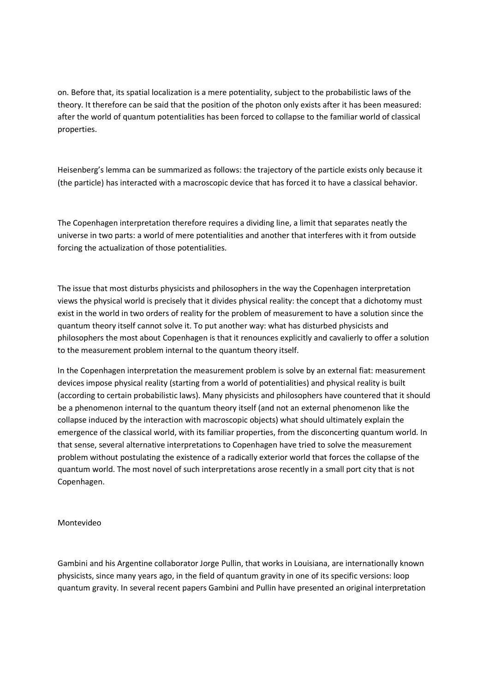on. Before that, its spatial localization is a mere potentiality, subject to the probabilistic laws of the theory. It therefore can be said that the position of the photon only exists after it has been measured: after the world of quantum potentialities has been forced to collapse to the familiar world of classical properties.

Heisenberg's lemma can be summarized as follows: the trajectory of the particle exists only because it (the particle) has interacted with a macroscopic device that has forced it to have a classical behavior.

The Copenhagen interpretation therefore requires a dividing line, a limit that separates neatly the universe in two parts: a world of mere potentialities and another that interferes with it from outside forcing the actualization of those potentialities.

The issue that most disturbs physicists and philosophers in the way the Copenhagen interpretation views the physical world is precisely that it divides physical reality: the concept that a dichotomy must exist in the world in two orders of reality for the problem of measurement to have a solution since the quantum theory itself cannot solve it. To put another way: what has disturbed physicists and philosophers the most about Copenhagen is that it renounces explicitly and cavalierly to offer a solution to the measurement problem internal to the quantum theory itself.

In the Copenhagen interpretation the measurement problem is solve by an external fiat: measurement devices impose physical reality (starting from a world of potentialities) and physical reality is built (according to certain probabilistic laws). Many physicists and philosophers have countered that it should be a phenomenon internal to the quantum theory itself (and not an external phenomenon like the collapse induced by the interaction with macroscopic objects) what should ultimately explain the emergence of the classical world, with its familiar properties, from the disconcerting quantum world. In that sense, several alternative interpretations to Copenhagen have tried to solve the measurement problem without postulating the existence of a radically exterior world that forces the collapse of the quantum world. The most novel of such interpretations arose recently in a small port city that is not Copenhagen.

Montevideo

Gambini and his Argentine collaborator Jorge Pullin, that works in Louisiana, are internationally known physicists, since many years ago, in the field of quantum gravity in one of its specific versions: loop quantum gravity. In several recent papers Gambini and Pullin have presented an original interpretation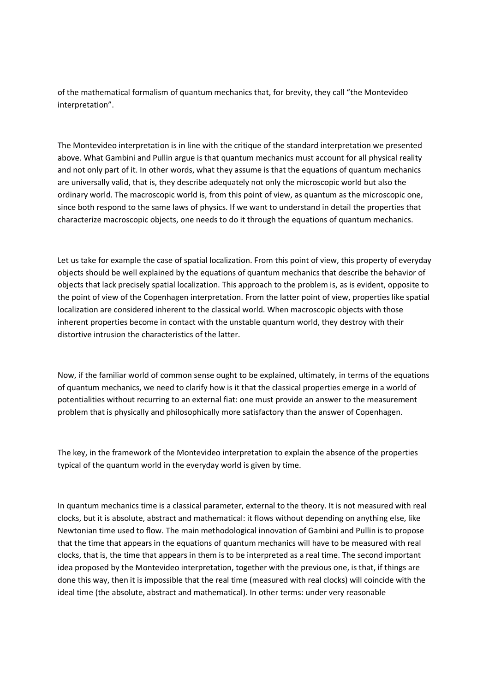of the mathematical formalism of quantum mechanics that, for brevity, they call "the Montevideo interpretation".

The Montevideo interpretation is in line with the critique of the standard interpretation we presented above. What Gambini and Pullin argue is that quantum mechanics must account for all physical reality and not only part of it. In other words, what they assume is that the equations of quantum mechanics are universally valid, that is, they describe adequately not only the microscopic world but also the ordinary world. The macroscopic world is, from this point of view, as quantum as the microscopic one, since both respond to the same laws of physics. If we want to understand in detail the properties that characterize macroscopic objects, one needs to do it through the equations of quantum mechanics.

Let us take for example the case of spatial localization. From this point of view, this property of everyday objects should be well explained by the equations of quantum mechanics that describe the behavior of objects that lack precisely spatial localization. This approach to the problem is, as is evident, opposite to the point of view of the Copenhagen interpretation. From the latter point of view, properties like spatial localization are considered inherent to the classical world. When macroscopic objects with those inherent properties become in contact with the unstable quantum world, they destroy with their distortive intrusion the characteristics of the latter.

Now, if the familiar world of common sense ought to be explained, ultimately, in terms of the equations of quantum mechanics, we need to clarify how is it that the classical properties emerge in a world of potentialities without recurring to an external fiat: one must provide an answer to the measurement problem that is physically and philosophically more satisfactory than the answer of Copenhagen.

The key, in the framework of the Montevideo interpretation to explain the absence of the properties typical of the quantum world in the everyday world is given by time.

In quantum mechanics time is a classical parameter, external to the theory. It is not measured with real clocks, but it is absolute, abstract and mathematical: it flows without depending on anything else, like Newtonian time used to flow. The main methodological innovation of Gambini and Pullin is to propose that the time that appears in the equations of quantum mechanics will have to be measured with real clocks, that is, the time that appears in them is to be interpreted as a real time. The second important idea proposed by the Montevideo interpretation, together with the previous one, is that, if things are done this way, then it is impossible that the real time (measured with real clocks) will coincide with the ideal time (the absolute, abstract and mathematical). In other terms: under very reasonable